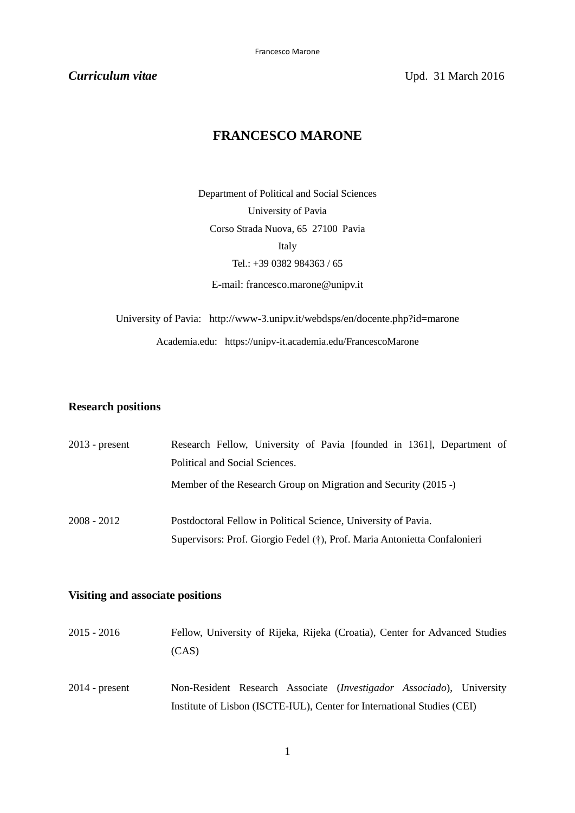**Curriculum vitae Curriculum vitae V**pd. 31 March 2016

# **FRANCESCO MARONE**

Department of Political and Social Sciences University of Pavia Corso Strada Nuova, 65 27100 Pavia Italy Tel.: +39 0382 984363 / 65

E-mail: [francesco.marone@unipv.it](mailto:francesco.marone@unipv.it)

University of Pavia: <http://www-3.unipv.it/webdsps/en/docente.php?id=marone> Academia.edu: https://unipv-it.academia.edu/FrancescoMarone

## **Research positions**

| $2013$ - present | Research Fellow, University of Pavia [founded in 1361], Department of     |
|------------------|---------------------------------------------------------------------------|
|                  | Political and Social Sciences.                                            |
|                  | Member of the Research Group on Migration and Security (2015 -)           |
| $2008 - 2012$    | Postdoctoral Fellow in Political Science, University of Pavia.            |
|                  | Supervisors: Prof. Giorgio Fedel (†), Prof. Maria Antonietta Confalonieri |

### **Visiting and associate positions**

| $2015 - 2016$    | Fellow, University of Rijeka, Rijeka (Croatia), Center for Advanced Studies   |
|------------------|-------------------------------------------------------------------------------|
|                  | (CAS)                                                                         |
| $2014$ - present | Non-Resident Research Associate ( <i>Investigador Associado</i> ), University |
|                  | Institute of Lisbon (ISCTE-IUL), Center for International Studies (CEI)       |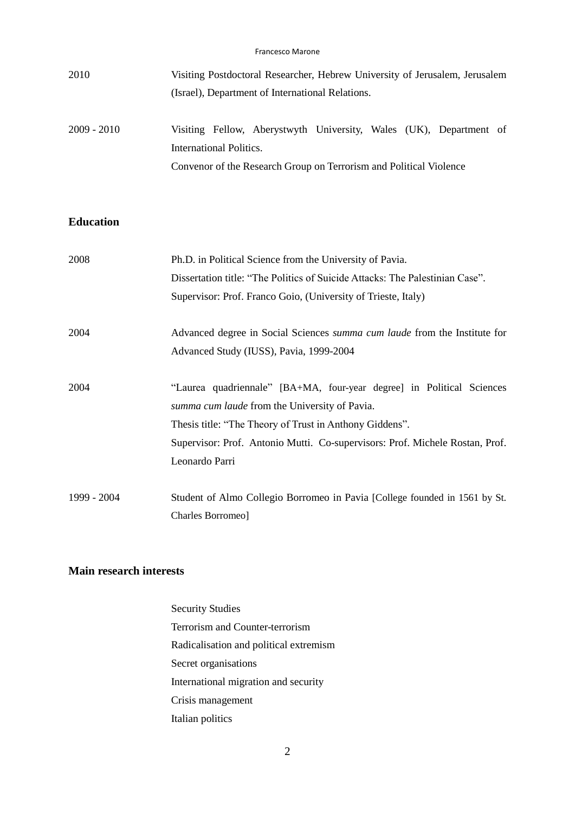| 2010          | Visiting Postdoctoral Researcher, Hebrew University of Jerusalem, Jerusalem<br>(Israel), Department of International Relations. |
|---------------|---------------------------------------------------------------------------------------------------------------------------------|
| $2009 - 2010$ | Visiting Fellow, Aberystwyth University, Wales (UK), Department of<br>International Politics.                                   |
|               | Convenor of the Research Group on Terrorism and Political Violence                                                              |

# **Education**

| 2008        | Ph.D. in Political Science from the University of Pavia.                                                                                                                                                                                                                            |
|-------------|-------------------------------------------------------------------------------------------------------------------------------------------------------------------------------------------------------------------------------------------------------------------------------------|
|             | Dissertation title: "The Politics of Suicide Attacks: The Palestinian Case".                                                                                                                                                                                                        |
|             | Supervisor: Prof. Franco Goio, (University of Trieste, Italy)                                                                                                                                                                                                                       |
| 2004        | Advanced degree in Social Sciences summa cum laude from the Institute for                                                                                                                                                                                                           |
|             | Advanced Study (IUSS), Pavia, 1999-2004                                                                                                                                                                                                                                             |
| 2004        | "Laurea quadriennale" [BA+MA, four-year degree] in Political Sciences<br>summa cum laude from the University of Pavia.<br>Thesis title: "The Theory of Trust in Anthony Giddens".<br>Supervisor: Prof. Antonio Mutti. Co-supervisors: Prof. Michele Rostan, Prof.<br>Leonardo Parri |
| 1999 - 2004 | Student of Almo Collegio Borromeo in Pavia [College founded in 1561 by St.<br>Charles Borromeo]                                                                                                                                                                                     |

### **Main research interests**

Security Studies Terrorism and Counter-terrorism Radicalisation and political extremism Secret organisations International migration and security Crisis management Italian politics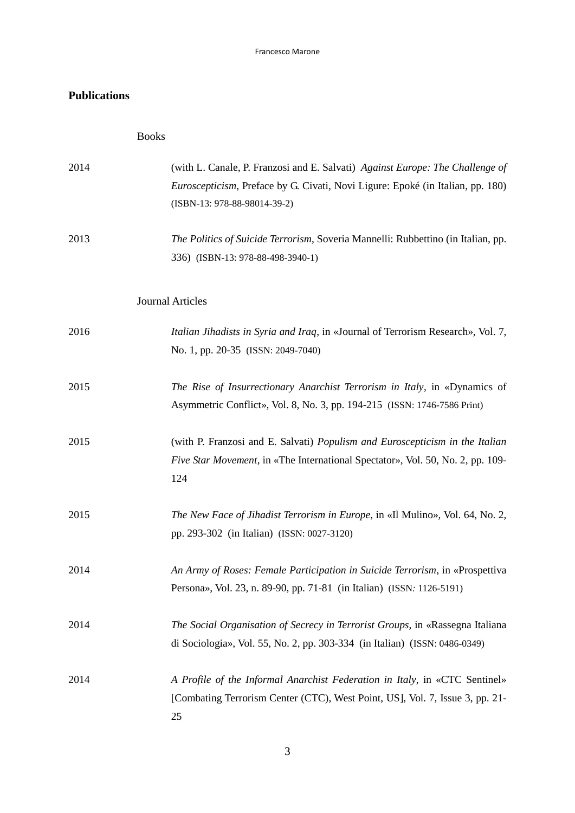#### Francesco Marone

# **Publications**

| 2014 | (with L. Canale, P. Franzosi and E. Salvati) Against Europe: The Challenge of<br><i>Euroscepticism</i> , Preface by G. Civati, Novi Ligure: Epoké (in Italian, pp. 180)<br>(ISBN-13: 978-88-98014-39-2) |
|------|---------------------------------------------------------------------------------------------------------------------------------------------------------------------------------------------------------|
| 2013 | The Politics of Suicide Terrorism, Soveria Mannelli: Rubbettino (in Italian, pp.<br>336) (ISBN-13: 978-88-498-3940-1)                                                                                   |
|      | <b>Journal Articles</b>                                                                                                                                                                                 |
| 2016 | Italian Jihadists in Syria and Iraq, in «Journal of Terrorism Research», Vol. 7,<br>No. 1, pp. 20-35 (ISSN: 2049-7040)                                                                                  |
| 2015 | The Rise of Insurrectionary Anarchist Terrorism in Italy, in «Dynamics of<br>Asymmetric Conflict», Vol. 8, No. 3, pp. 194-215 (ISSN: 1746-7586 Print)                                                   |
| 2015 | (with P. Franzosi and E. Salvati) Populism and Euroscepticism in the Italian<br><i>Five Star Movement</i> , in «The International Spectator», Vol. 50, No. 2, pp. 109-<br>124                           |
| 2015 | The New Face of Jihadist Terrorism in Europe, in «Il Mulino», Vol. 64, No. 2,<br>pp. 293-302 (in Italian) (ISSN: 0027-3120)                                                                             |
| 2014 | An Army of Roses: Female Participation in Suicide Terrorism, in «Prospettiva<br>Persona», Vol. 23, n. 89-90, pp. 71-81 (in Italian) (ISSN: 1126-5191)                                                   |
| 2014 | The Social Organisation of Secrecy in Terrorist Groups, in «Rassegna Italiana<br>di Sociologia», Vol. 55, No. 2, pp. 303-334 (in Italian) (ISSN: 0486-0349)                                             |
| 2014 | A Profile of the Informal Anarchist Federation in Italy, in «CTC Sentinel»<br>[Combating Terrorism Center (CTC), West Point, US], Vol. 7, Issue 3, pp. 21-<br>25                                        |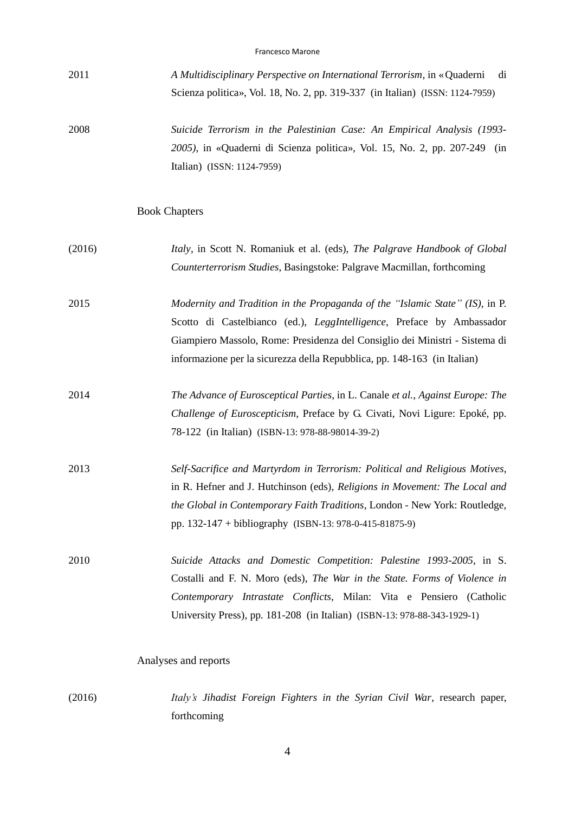|--|

- 2011 *A Multidisciplinary Perspective on International Terrorism*, in «Quaderni di Scienza politica», Vol. 18, No. 2, pp. 319-337 (in Italian) (ISSN: 1124-7959)
- 2008 *Suicide Terrorism in the Palestinian Case: An Empirical Analysis (1993- 2005)*, in «Quaderni di Scienza politica», Vol. 15, No. 2, pp. 207-249 (in Italian) (ISSN: 1124-7959)

#### Book Chapters

- (2016) *Italy*, in Scott N. Romaniuk et al. (eds), *The Palgrave Handbook of Global Counterterrorism Studies*, Basingstoke: Palgrave Macmillan, forthcoming
- 2015 *Modernity and Tradition in the Propaganda of the "Islamic State" (IS)*, in P. Scotto di Castelbianco (ed.), *LeggIntelligence*, Preface by Ambassador Giampiero Massolo, Rome: Presidenza del Consiglio dei Ministri - Sistema di informazione per la sicurezza della Repubblica, pp. 148-163 (in Italian)
- 2014 *The Advance of Eurosceptical Parties*, in L. Canale *et al.*, *Against Europe: The Challenge of Euroscepticism*, Preface by G. Civati, Novi Ligure: Epoké, pp. 78-122 (in Italian) (ISBN-13: 978-88-98014-39-2)
- 2013 *Self-Sacrifice and Martyrdom in Terrorism: Political and Religious Motives*, in R. Hefner and J. Hutchinson (eds), *Religions in Movement: The Local and the Global in Contemporary Faith Traditions*, London - New York: Routledge, pp. 132-147 + bibliography (ISBN-13: 978-0-415-81875-9)
- 2010 *Suicide Attacks and Domestic Competition: Palestine 1993-2005*, in S. Costalli and F. N. Moro (eds), *The War in the State. Forms of Violence in Contemporary Intrastate Conflicts*, Milan: Vita e Pensiero (Catholic University Press), pp. 181-208 (in Italian) (ISBN-13: 978-88-343-1929-1)

### Analyses and reports

(2016) *Italy's Jihadist Foreign Fighters in the Syrian Civil War*, research paper, forthcoming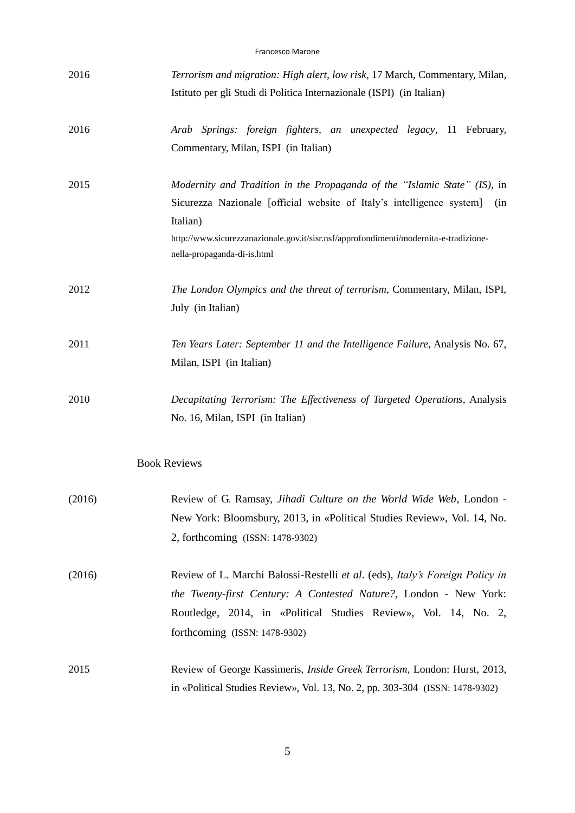#### Francesco Marone

| 2016   | Terrorism and migration: High alert, low risk, 17 March, Commentary, Milan,<br>Istituto per gli Studi di Politica Internazionale (ISPI) (in Italian) |
|--------|------------------------------------------------------------------------------------------------------------------------------------------------------|
|        |                                                                                                                                                      |
| 2016   | Arab Springs: foreign fighters, an unexpected legacy, 11 February,                                                                                   |
|        | Commentary, Milan, ISPI (in Italian)                                                                                                                 |
| 2015   | Modernity and Tradition in the Propaganda of the "Islamic State" (IS), in                                                                            |
|        | Sicurezza Nazionale [official website of Italy's intelligence system]<br>(in                                                                         |
|        | Italian)                                                                                                                                             |
|        | http://www.sicurezzanazionale.gov.it/sisr.nsf/approfondimenti/modernita-e-tradizione-<br>nella-propaganda-di-is.html                                 |
| 2012   | The London Olympics and the threat of terrorism, Commentary, Milan, ISPI,                                                                            |
|        | July (in Italian)                                                                                                                                    |
| 2011   | Ten Years Later: September 11 and the Intelligence Failure, Analysis No. 67,                                                                         |
|        | Milan, ISPI (in Italian)                                                                                                                             |
| 2010   | Decapitating Terrorism: The Effectiveness of Targeted Operations, Analysis                                                                           |
|        | No. 16, Milan, ISPI (in Italian)                                                                                                                     |
|        | <b>Book Reviews</b>                                                                                                                                  |
| (2016) | Review of G. Ramsay, Jihadi Culture on the World Wide Web, London -                                                                                  |
|        | New York: Bloomsbury, 2013, in «Political Studies Review», Vol. 14, No.                                                                              |
|        | 2, forthcoming (ISSN: 1478-9302)                                                                                                                     |
| (2016) | Review of L. Marchi Balossi-Restelli et al. (eds), Italy's Foreign Policy in                                                                         |
|        | the Twenty-first Century: A Contested Nature?, London - New York:                                                                                    |
|        | Routledge, 2014, in «Political Studies Review», Vol. 14, No. 2,                                                                                      |
|        | forthcoming (ISSN: 1478-9302)                                                                                                                        |
| 2015   | Review of George Kassimeris, <i>Inside Greek Terrorism</i> , London: Hurst, 2013,                                                                    |
|        | in «Political Studies Review», Vol. 13, No. 2, pp. 303-304 (ISSN: 1478-9302)                                                                         |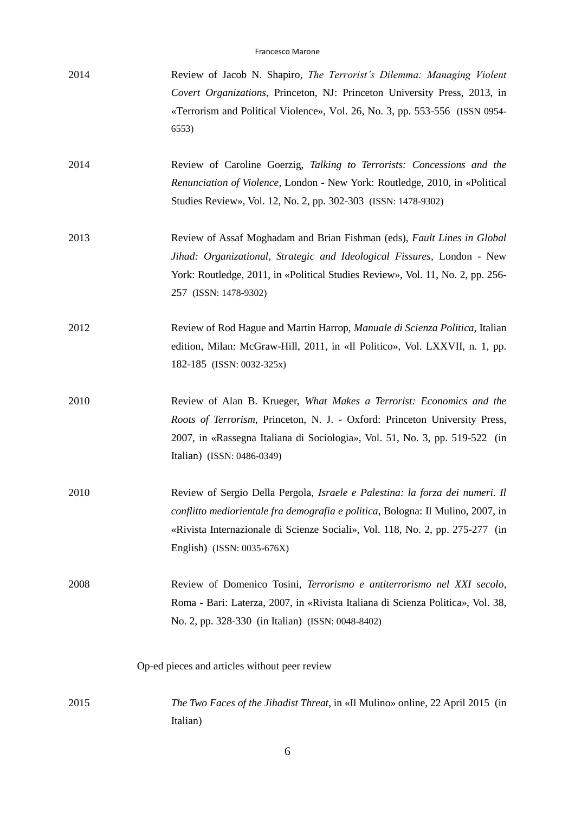| 2014 | Review of Jacob N. Shapiro, <i>The Terrorist's Dilemma: Managing Violent</i> |
|------|------------------------------------------------------------------------------|
|      | Covert Organizations, Princeton, NJ: Princeton University Press, 2013, in    |
|      | «Terrorism and Political Violence», Vol. 26, No. 3, pp. 553-556 (ISSN 0954-  |
|      | 6553)                                                                        |

- 2014 Review of Caroline Goerzig, *Talking to Terrorists: Concessions and the Renunciation of Violence*, London - New York: Routledge, 2010, in «Political Studies Review», Vol. 12, No. 2, pp. 302-303 (ISSN: 1478-9302)
- 2013 Review of Assaf Moghadam and Brian Fishman (eds), *Fault Lines in Global Jihad: Organizational, Strategic and Ideological Fissures*, London - New York: Routledge, 2011, in «Political Studies Review», Vol. 11, No. 2, pp. 256- 257 (ISSN: 1478-9302)
- 2012 Review of Rod Hague and Martin Harrop, *Manuale di Scienza Politica*, Italian edition, Milan: McGraw-Hill, 2011, in «Il Politico», Vol. LXXVII, n. 1, pp. 182-185 (ISSN: 0032-325x)
- 2010 Review of Alan B. Krueger, *What Makes a Terrorist: Economics and the Roots of Terrorism*, Princeton, N. J. - Oxford: Princeton University Press, 2007, in «Rassegna Italiana di Sociologia», Vol. 51, No. 3, pp. 519-522 (in Italian) (ISSN: 0486-0349)
- 2010 Review of Sergio Della Pergola, *Israele e Palestina: la forza dei numeri. Il conflitto mediorientale fra demografia e politica*, Bologna: Il Mulino, 2007, in «Rivista Internazionale di Scienze Sociali», Vol. 118, No. 2, pp. 275-277 (in English) (ISSN: 0035-676X)
- 2008 Review of Domenico Tosini, *Terrorismo e antiterrorismo nel XXI secolo*, Roma - Bari: Laterza, 2007, in «Rivista Italiana di Scienza Politica», Vol. 38, No. 2, pp. 328-330 (in Italian) (ISSN: 0048-8402)

Op-ed pieces and articles without peer review

2015 *The Two Faces of the Jihadist Threat*, in «Il Mulino» online, 22 April 2015 (in Italian)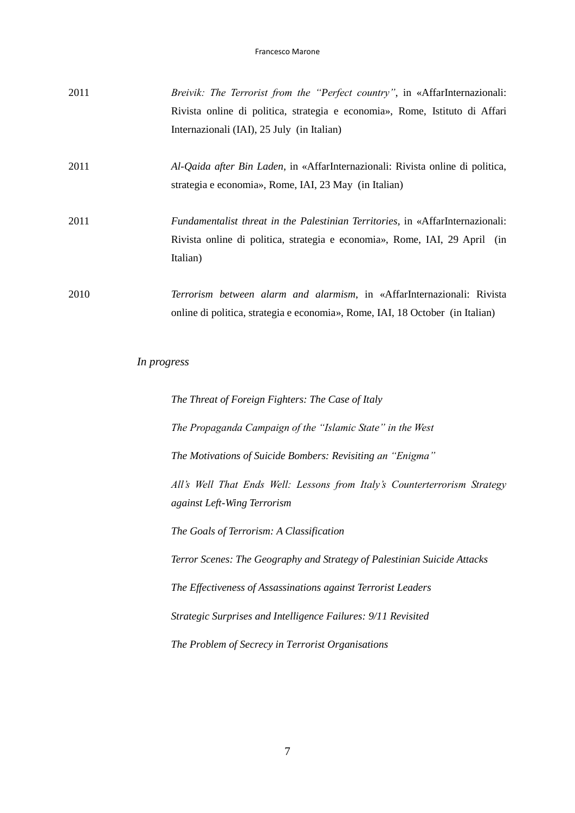| 2011 | Breivik: The Terrorist from the "Perfect country", in «AffarInternazionali:                                                             |
|------|-----------------------------------------------------------------------------------------------------------------------------------------|
|      | Rivista online di politica, strategia e economia», Rome, Istituto di Affari                                                             |
|      | Internazionali (IAI), 25 July (in Italian)                                                                                              |
| 2011 | Al-Qaida after Bin Laden, in «AffarInternazionali: Rivista online di politica,<br>strategia e economia», Rome, IAI, 23 May (in Italian) |
|      |                                                                                                                                         |
| 2011 | Fundamentalist threat in the Palestinian Territories, in «AffarInternazionali:                                                          |
|      | Rivista online di politica, strategia e economia», Rome, IAI, 29 April (in                                                              |
|      | Italian)                                                                                                                                |
| 2010 | Terrorism between alarm and alarmism, in «AffarInternazionali: Rivista                                                                  |
|      | online di politica, strategia e economia», Rome, IAI, 18 October (in Italian)                                                           |
|      | In progress                                                                                                                             |
|      |                                                                                                                                         |
|      | The Threat of Foreign Fighters: The Case of Italy                                                                                       |
|      | The Propaganda Campaign of the "Islamic State" in the West                                                                              |
|      | The Motivations of Suicide Bombers: Revisiting an "Enigma"                                                                              |
|      | All's Well That Ends Well: Lessons from Italy's Counterterrorism Strategy                                                               |
|      | against Left-Wing Terrorism                                                                                                             |
|      | The Goals of Terrorism: A Classification                                                                                                |
|      | Terror Scenes: The Geography and Strategy of Palestinian Suicide Attacks                                                                |
|      | The Effectiveness of Assassinations against Terrorist Leaders                                                                           |
|      | Strategic Surprises and Intelligence Failures: 9/11 Revisited                                                                           |

*The Problem of Secrecy in Terrorist Organisations*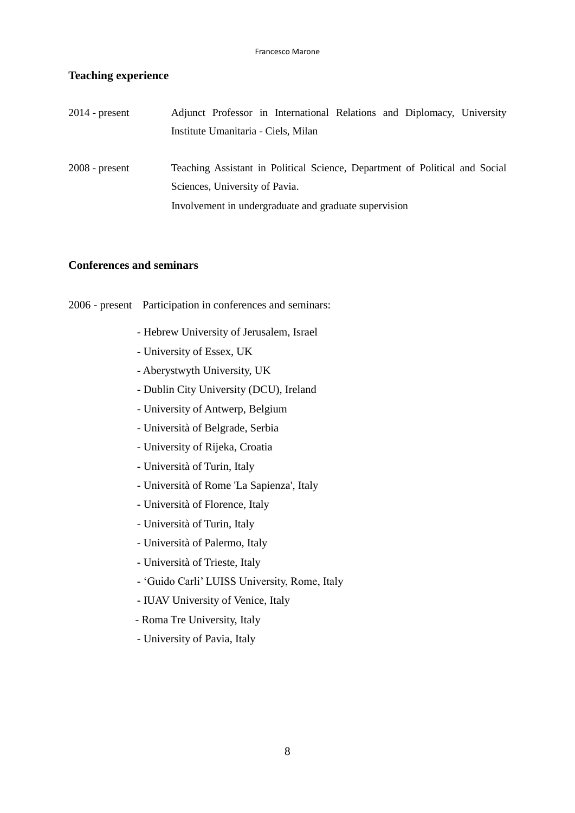### **Teaching experience**

| $2014$ - present | Adjunct Professor in International Relations and Diplomacy, University      |
|------------------|-----------------------------------------------------------------------------|
|                  | Institute Umanitaria - Ciels, Milan                                         |
| $2008$ - present | Teaching Assistant in Political Science, Department of Political and Social |
|                  | Sciences, University of Pavia.                                              |
|                  | Involvement in undergraduate and graduate supervision                       |

### **Conferences and seminars**

2006 - present Participation in conferences and seminars:

- Hebrew University of Jerusalem, Israel
- University of Essex, UK
- Aberystwyth University, UK
- Dublin City University (DCU), Ireland
- University of Antwerp, Belgium
- Università of Belgrade, Serbia
- University of Rijeka, Croatia
- Università of Turin, Italy
- Università of Rome 'La Sapienza', Italy
- Università of Florence, Italy
- Università of Turin, Italy
- Università of Palermo, Italy
- Università of Trieste, Italy
- 'Guido Carli' LUISS University, Rome, Italy
- IUAV University of Venice, Italy
- Roma Tre University, Italy
- University of Pavia, Italy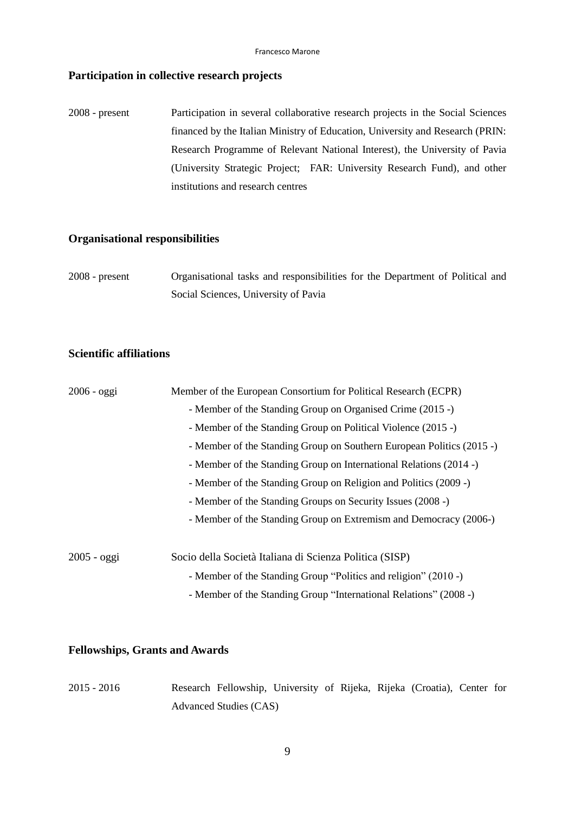### **Participation in collective research projects**

2008 - present Participation in several collaborative research projects in the Social Sciences financed by the Italian Ministry of Education, University and Research (PRIN: Research Programme of Relevant National Interest), the University of Pavia (University Strategic Project; FAR: University Research Fund), and other institutions and research centres

# **Organisational responsibilities**

| $2008$ - present | Organisational tasks and responsibilities for the Department of Political and |
|------------------|-------------------------------------------------------------------------------|
|                  | Social Sciences, University of Pavia                                          |

### **Scientific affiliations**

| $2006 - oggi$ | Member of the European Consortium for Political Research (ECPR)       |  |  |  |  |  |
|---------------|-----------------------------------------------------------------------|--|--|--|--|--|
|               | - Member of the Standing Group on Organised Crime (2015 -)            |  |  |  |  |  |
|               | - Member of the Standing Group on Political Violence (2015 -)         |  |  |  |  |  |
|               | - Member of the Standing Group on Southern European Politics (2015 -) |  |  |  |  |  |
|               | - Member of the Standing Group on International Relations (2014 -)    |  |  |  |  |  |
|               | - Member of the Standing Group on Religion and Politics (2009 -)      |  |  |  |  |  |
|               | - Member of the Standing Groups on Security Issues (2008 -)           |  |  |  |  |  |
|               | - Member of the Standing Group on Extremism and Democracy (2006-)     |  |  |  |  |  |
| $2005 - oggi$ | Socio della Società Italiana di Scienza Politica (SISP)               |  |  |  |  |  |
|               | - Member of the Standing Group "Politics and religion" (2010 -)       |  |  |  |  |  |
|               | - Member of the Standing Group "International Relations" (2008 -)     |  |  |  |  |  |

### **Fellowships, Grants and Awards**

| $2015 - 2016$ | Research Fellowship, University of Rijeka, Rijeka (Croatia), Center for |  |  |  |  |
|---------------|-------------------------------------------------------------------------|--|--|--|--|
|               | Advanced Studies (CAS)                                                  |  |  |  |  |